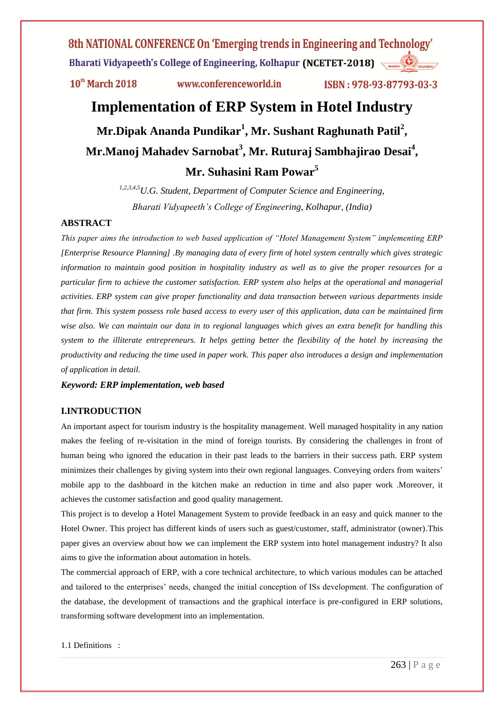$10<sup>th</sup>$  March 2018

www.conferenceworld.in

ISBN: 978-93-87793-03-3

# **Implementation of ERP System in Hotel Industry**

**Mr.Dipak Ananda Pundikar<sup>1</sup> , Mr. Sushant Raghunath Patil<sup>2</sup> , Mr.Manoj Mahadev Sarnobat<sup>3</sup> , Mr. Ruturaj Sambhajirao Desai<sup>4</sup> , Mr. Suhasini Ram Powar<sup>5</sup>**

> *1,2,3,4,5U.G. Student, Department of Computer Science and Engineering, Bharati Vidyapeeth's College of Engineering, Kolhapur, (India)*

#### **ABSTRACT**

*This paper aims the introduction to web based application of "Hotel Management System" implementing ERP [Enterprise Resource Planning] .By managing data of every firm of hotel system centrally which gives strategic information to maintain good position in hospitality industry as well as to give the proper resources for a particular firm to achieve the customer satisfaction. ERP system also helps at the operational and managerial activities. ERP system can give proper functionality and data transaction between various departments inside that firm. This system possess role based access to every user of this application, data can be maintained firm wise also. We can maintain our data in to regional languages which gives an extra benefit for handling this system to the illiterate entrepreneurs. It helps getting better the flexibility of the hotel by increasing the productivity and reducing the time used in paper work. This paper also introduces a design and implementation of application in detail.*

*Keyword: ERP implementation, web based*

### **I.INTRODUCTION**

An important aspect for tourism industry is the hospitality management. Well managed hospitality in any nation makes the feeling of re-visitation in the mind of foreign tourists. By considering the challenges in front of human being who ignored the education in their past leads to the barriers in their success path. ERP system minimizes their challenges by giving system into their own regional languages. Conveying orders from waiters" mobile app to the dashboard in the kitchen make an reduction in time and also paper work .Moreover, it achieves the customer satisfaction and good quality management.

This project is to develop a Hotel Management System to provide feedback in an easy and quick manner to the Hotel Owner. This project has different kinds of users such as guest/customer, staff, administrator (owner).This paper gives an overview about how we can implement the ERP system into hotel management industry? It also aims to give the information about automation in hotels.

The commercial approach of ERP, with a core technical architecture, to which various modules can be attached and tailored to the enterprises" needs, changed the initial conception of ISs development. The configuration of the database, the development of transactions and the graphical interface is pre-configured in ERP solutions, transforming software development into an implementation.

1.1 Definitions :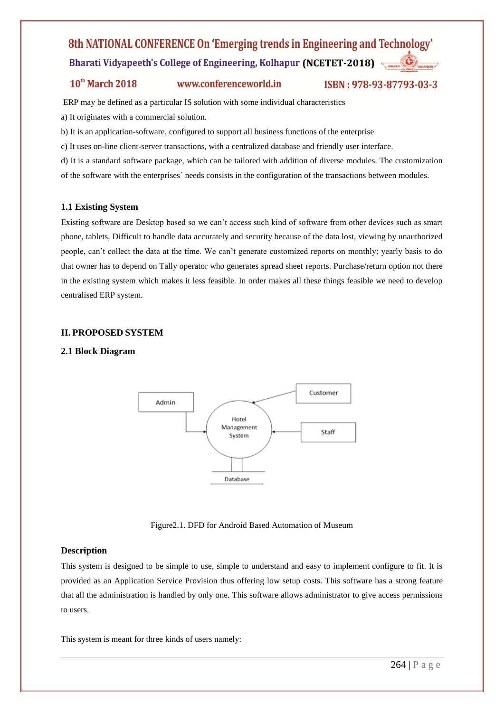### $10<sup>th</sup>$  March 2018

www.conferenceworld.in

ISBN: 978-93-87793-03-3

ERP may be defined as a particular IS solution with some individual characteristics

a) It originates with a commercial solution.

b) It is an application-software, configured to support all business functions of the enterprise

c) It uses on-line client-server transactions, with a centralized database and friendly user interface.

d) It is a standard software package, which can be tailored with addition of diverse modules. The customization

of the software with the enterprises´ needs consists in the configuration of the transactions between modules.

### **1.1 Existing System**

Existing software are Desktop based so we can"t access such kind of software from other devices such as smart phone, tablets, Difficult to handle data accurately and security because of the data lost, viewing by unauthorized people, can"t collect the data at the time. We can"t generate customized reports on monthly; yearly basis to do that owner has to depend on Tally operator who generates spread sheet reports. Purchase/return option not there in the existing system which makes it less feasible. In order makes all these things feasible we need to develop centralised ERP system.

### **II. PROPOSED SYSTEM**

#### **2.1 Block Diagram**



Figure2.1. DFD for Android Based Automation of Museum

### **Description**

This system is designed to be simple to use, simple to understand and easy to implement configure to fit. It is provided as an Application Service Provision thus offering low setup costs. This software has a strong feature that all the administration is handled by only one. This software allows administrator to give access permissions to users.

This system is meant for three kinds of users namely: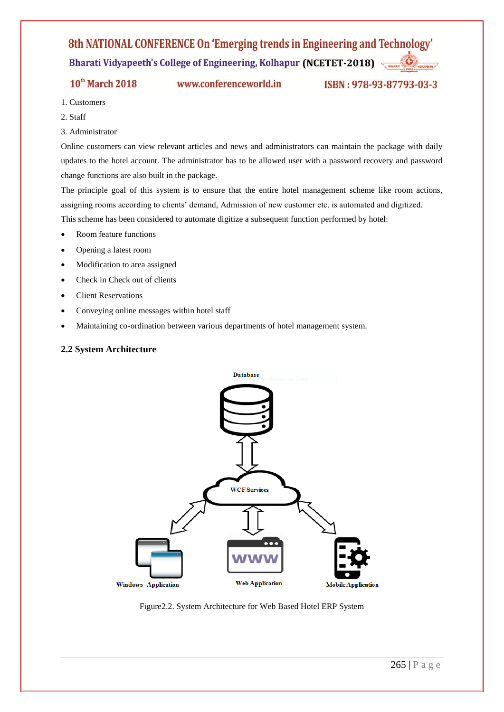$10<sup>th</sup>$  March 2018

www.conferenceworld.in

ISBN: 978-93-87793-03-3

- 1. Customers
- 2. Staff
- 3. Administrator

Online customers can view relevant articles and news and administrators can maintain the package with daily updates to the hotel account. The administrator has to be allowed user with a password recovery and password change functions are also built in the package.

The principle goal of this system is to ensure that the entire hotel management scheme like room actions, assigning rooms according to clients" demand, Admission of new customer etc. is automated and digitized. This scheme has been considered to automate digitize a subsequent function performed by hotel:

- Room feature functions
- Opening a latest room
- Modification to area assigned
- Check in Check out of clients
- Client Reservations
- Conveying online messages within hotel staff
- Maintaining co-ordination between various departments of hotel management system.

#### **2.2 System Architecture**



Figure2.2. System Architecture for Web Based Hotel ERP System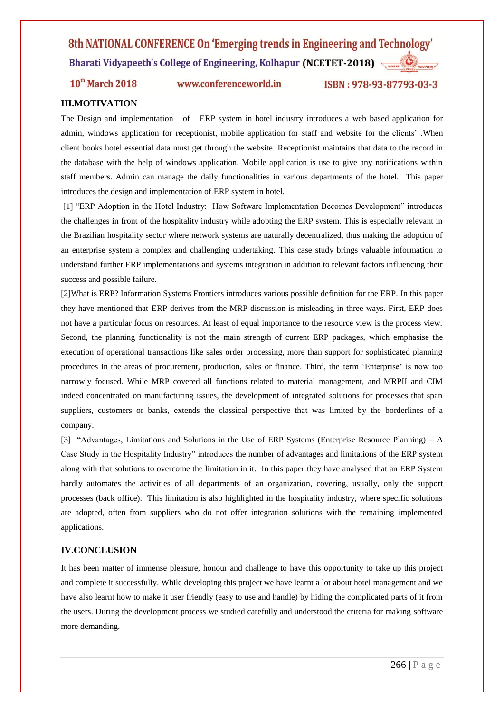10<sup>th</sup> March 2018

www.conferenceworld.in

ISBN: 978-93-87793-03-3

### **III.MOTIVATION**

The Design and implementation of ERP system in hotel industry introduces a web based application for admin, windows application for receptionist, mobile application for staff and website for the clients" .When client books hotel essential data must get through the website. Receptionist maintains that data to the record in the database with the help of windows application. Mobile application is use to give any notifications within staff members. Admin can manage the daily functionalities in various departments of the hotel. This paper introduces the design and implementation of ERP system in hotel.

[1] "ERP Adoption in the Hotel Industry: How Software Implementation Becomes Development" introduces the challenges in front of the hospitality industry while adopting the ERP system. This is especially relevant in the Brazilian hospitality sector where network systems are naturally decentralized, thus making the adoption of an enterprise system a complex and challenging undertaking. This case study brings valuable information to understand further ERP implementations and systems integration in addition to relevant factors influencing their success and possible failure.

[2]What is ERP? Information Systems Frontiers introduces various possible definition for the ERP. In this paper they have mentioned that ERP derives from the MRP discussion is misleading in three ways. First, ERP does not have a particular focus on resources. At least of equal importance to the resource view is the process view. Second, the planning functionality is not the main strength of current ERP packages, which emphasise the execution of operational transactions like sales order processing, more than support for sophisticated planning procedures in the areas of procurement, production, sales or finance. Third, the term "Enterprise" is now too narrowly focused. While MRP covered all functions related to material management, and MRPII and CIM indeed concentrated on manufacturing issues, the development of integrated solutions for processes that span suppliers, customers or banks, extends the classical perspective that was limited by the borderlines of a company.

[3] "Advantages, Limitations and Solutions in the Use of ERP Systems (Enterprise Resource Planning) – A Case Study in the Hospitality Industry" introduces the number of advantages and limitations of the ERP system along with that solutions to overcome the limitation in it. In this paper they have analysed that an ERP System hardly automates the activities of all departments of an organization, covering, usually, only the support processes (back office). This limitation is also highlighted in the hospitality industry, where specific solutions are adopted, often from suppliers who do not offer integration solutions with the remaining implemented applications.

#### **IV.CONCLUSION**

It has been matter of immense pleasure, honour and challenge to have this opportunity to take up this project and complete it successfully. While developing this project we have learnt a lot about hotel management and we have also learnt how to make it user friendly (easy to use and handle) by hiding the complicated parts of it from the users. During the development process we studied carefully and understood the criteria for making software more demanding.